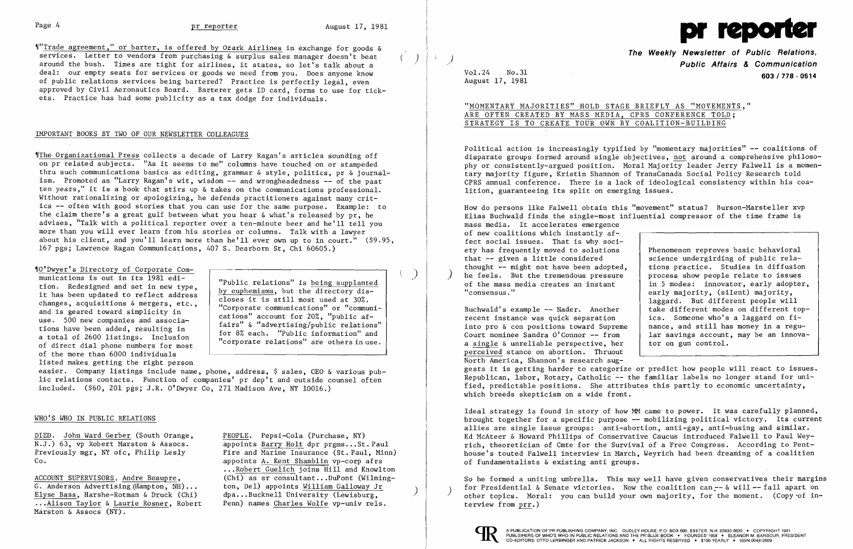

"Trade agreement," or barter, is offered by Ozark Airlines in exchange for goods & services. Letter to vendors from purchasing & surplus sales manager doesn't beat services. Letter to vendors from purchasing & surplus sales manager doesn't beat () deal: our empty seats for services or goods we need from you. Does anyone know of public relations services being bartered? Practice is perfectly legal, even approved by Civil Aeronautics Board. Barterer gets ID card, forms to use for tick ets. Practice has had some publicity as a tax dodge for individuals.

### IMPORTANT BOOKS BY TWO OF OUR NEWSLETTER COLLEAGUES

Whe Organizational Press collects a decade of Larry Ragan's articles sounding off on pr related subjects. "As it seems to me" columns have touched on or stampeded thru such communications basics as editing, grammar & style, politics, pr & journalism. Promoted as "Larry Ragan's wit, wisdom -- and wrongheadedness -- of the past ten years," it is a book that stirs up & takes on the communications professional. Without rationalizing or apologizing, he defends practitioners against many critics -- often with good stories that you can use for the same purpose. Example: to the claim there's a great gulf between what you hear & what's released by pr, he advises, "Talk with a political reporter over a ten-minute beer and he'll tell you more than you will ever learn from his stories or columns. Talk with a lawyer about his client, and you'll learn more than he'll ever own up to in court." (\$9.95, 167 pgs; Lawrence Ragan Communications, 407 S. Dearborn St, Chi 60605.)

easier. Company listings include name, phone, address, \$ sales, CEO & various public relations contacts. Function of companies' pr dep't and outside counsel often included. (\$60, 201 pgs; J.R. O'Dwyer Co, 271 Madison Ave, NY 10016.)

ACCOUNT SUPERVISORS. Andre Beaupre, G. Anderson Advertising (Hampton, NH) ..• Elyse Bass, Harshe-Rotman & Druck (Chi) ..•Alison Taylor & Laurie Rosner, Robert Marston & Assocs (NY).

,rO'Dwyer's Directory of Corporate Communications is out in its 1981 edition. Redesigned and set in new type, it has been updated to reflect address changes, acquisitions & mergers, etc., and is geared toward simplicity in use. 500 new companies and associations have been added, resulting in a total of 2600 listings. Inclusion of direct dial phone numbers for most of the more than 6000 individuals listed makes getting the right person

,)

"Public relations" is being supplanted by euphemisms, but the directory discloses it is still most used at 30%. "Corporate communications" or "communications" account for 20%, "public affairs" & "advertising/public relations" for 8% each. "Public information" and "corporate relations" are others in use.

### WHO'S WHO IN PUBLIC RELATIONS

DIED. John Ward Gerber (South Orange, N.J.) 63, vp Robert Marston & Assocs. Previously mgr, NY ofc, Philip Lesly Co.

> So he formed a uniting umbrella. This may well have given conservatives their margins for Presidential & Senate victories. Now the coalition can  $-$ - & will  $-$ - fall apart on other topics. Moral: you can build your own majority, for the moment. (Copy of interview from prr.)



PEOPLE. Pepsi-Cola (Purchase, NY) appoints Barry Holt dpr prgms ...St. Paul Fire and Marine Insurance (St. Paul, Minn) appoints A. Kent Shamblin vp-corp afrs ...Robert Guelich joins Hill and Knowlton  $(Chi)$  as sr consultant...DuPont (Wilmington, Del) appoints William Galloway Jr<br>
dpa...Bucknell University (Lewisburg, Penn) names Charles Wolfe vp-univ rels .

**The Weekly Newsletter of Public Relations,** ) **Public Affairs & Communication**  Vol. 24 No. 31 **603/778 - <sup>0514</sup>** August 17, 1981

"MOMENTARY MAJORITIES" HOLD STAGE BRIEFLY AS "MOVEMENTS," ARE OFTEN CREATED BY MASS MEDIA, CPRS CONFERENCE TOLD; STRATEGY IS TO CREATE YOUR OWN BY COALITION-BUILDING

Political action is increasingly typified by "momentary majorities" -- coalitions of disparate groups formed around single objectives, not around a comprehensive philosophy or consistently-argued position. Moral Majority leader Jerry Falwell is a momentary majority figure, Kristin Shannon of TransCanada Social Policy Research told CPRS annual conference. There is a lack of ideological consistency within his coalition, guaranteeing its split on emerging issues.

How do persons like Falwell obtain this "movement" status? Burson-Marsteller xvp Elias Buchwald finds the single-most influential compressor of the time frame is mass media. It accelerates emergence of new coalitions which instantly affect social issues. That is why society has frequently moved to solutions that -- given a little considered thought -- might not have been adopted,<br>he feels. But the tremendous pressure of the mass media creates an instant "consensus." Buchwald's example -- Nader. Another recent instance was quick separation into pro & con positions toward Supreme Court nominee Sandra O'Connor -- from a single & unreliable perspective, her Phenomenon reproves basic behavioral science undergirding of public relations practice. Studies in diffusion process show people relate to issues in 5 modes: innovator, early adopter, early majority, (silent) majority, laggard. But different people will take different modes on different topics. Someone who's a laggard on finance, and still has money in a regular savings account, may be an innovator on gun control.

perceived stance on abortion. Thruout North America, Shannon's research suggests it is getting harder to categorize or predict how people will react to issues. Republican, labor, Rotary, Catholic -- the familiar labels no longer stand for unified, predictable positions. She attributes this partly to economic uncertainty, which breeds skepticism on a wide front.

Ideal strategy is found in story of how MM came to power. It was carefully planned, brought together for a specific purpose -- mobilizing political victory. Its current allies are single issue groups: anti-abortion, anti-gay, anti-busing and similar. Ed McAteer & Howard Phillips of Conservative Caucus introduced Falwell to Paul Weyrich, theoretician of Cmte for the Survival of a Free Congress. According to Penthouse's touted Falwell interview in March, Weyrich had been dreaming of a coalition of fundamentalists & existing anti groups •